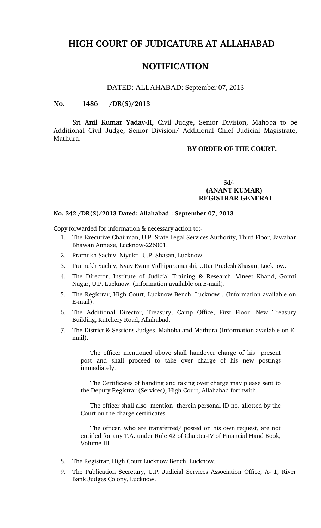# **HIGH COURT OF JUDICATURE AT ALLAHABAD**

# **NOTIFICATION**

#### DATED: ALLAHABAD: September 07, 2013

#### **No. 1486 /DR(S)/2013**

Sri Anil Kumar Yadav-II, Civil Judge, Senior Division, Mahoba to be Additional Civil Judge, Senior Division/ Additional Chief Judicial Magistrate, Mathura.

## **BY ORDER OF THE COURT.**

# Sd/-  **(ANANT KUMAR) REGISTRAR GENERAL**

#### **No. 342 /DR(S)/2013 Dated: Allahabad : September 07, 2013**

Copy forwarded for information & necessary action to:

- 1. The Executive Chairman, U.P. State Legal Services Authority, Third Floor, Jawahar Bhawan Annexe, Lucknow226001.
- 2. Pramukh Sachiv, Niyukti, U.P. Shasan, Lucknow.
- 3. Pramukh Sachiv, Nyay Evam Vidhiparamarshi, Uttar Pradesh Shasan, Lucknow.
- 4. The Director, Institute of Judicial Training & Research, Vineet Khand, Gomti Nagar, U.P. Lucknow. (Information available on E-mail).
- 5. The Registrar, High Court, Lucknow Bench, Lucknow . (Information available on E-mail).
- 6. The Additional Director, Treasury, Camp Office, First Floor, New Treasury Building, Kutchery Road, Allahabad.
- 7. The District & Sessions Judges, Mahoba and Mathura (Information available on Email).

The officer mentioned above shall handover charge of his present post and shall proceed to take over charge of his new postings immediately.

The Certificates of handing and taking over charge may please sent to the Deputy Registrar (Services), High Court, Allahabad forthwith.

The officer shall also mention therein personal ID no. allotted by the Court on the charge certificates.

The officer, who are transferred/ posted on his own request, are not entitled for any T.A. under Rule 42 of Chapter-IV of Financial Hand Book, Volume-III.

- 8. The Registrar, High Court Lucknow Bench, Lucknow.
- 9. The Publication Secretary, U.P. Judicial Services Association Office, A- 1, River Bank Judges Colony, Lucknow.